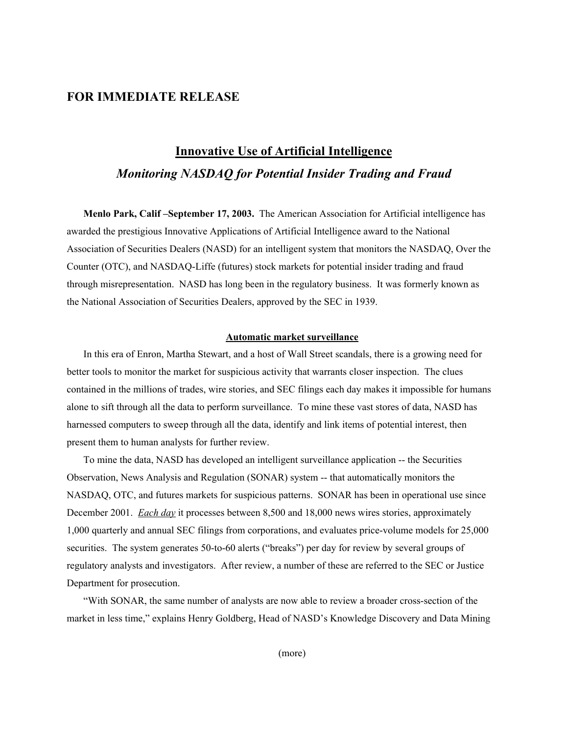### **FOR IMMEDIATE RELEASE**

# **Innovative Use of Artificial Intelligence** *Monitoring NASDAQ for Potential Insider Trading and Fraud*

**Menlo Park, Calif –September 17, 2003.** The American Association for Artificial intelligence has awarded the prestigious Innovative Applications of Artificial Intelligence award to the National Association of Securities Dealers (NASD) for an intelligent system that monitors the NASDAQ, Over the Counter (OTC), and NASDAQ-Liffe (futures) stock markets for potential insider trading and fraud through misrepresentation. NASD has long been in the regulatory business. It was formerly known as the National Association of Securities Dealers, approved by the SEC in 1939.

#### **Automatic market surveillance**

In this era of Enron, Martha Stewart, and a host of Wall Street scandals, there is a growing need for better tools to monitor the market for suspicious activity that warrants closer inspection. The clues contained in the millions of trades, wire stories, and SEC filings each day makes it impossible for humans alone to sift through all the data to perform surveillance. To mine these vast stores of data, NASD has harnessed computers to sweep through all the data, identify and link items of potential interest, then present them to human analysts for further review.

To mine the data, NASD has developed an intelligent surveillance application -- the Securities Observation, News Analysis and Regulation (SONAR) system -- that automatically monitors the NASDAQ, OTC, and futures markets for suspicious patterns. SONAR has been in operational use since December 2001. *Each day* it processes between 8,500 and 18,000 news wires stories, approximately 1,000 quarterly and annual SEC filings from corporations, and evaluates price-volume models for 25,000 securities. The system generates 50-to-60 alerts ("breaks") per day for review by several groups of regulatory analysts and investigators. After review, a number of these are referred to the SEC or Justice Department for prosecution.

"With SONAR, the same number of analysts are now able to review a broader cross-section of the market in less time," explains Henry Goldberg, Head of NASD's Knowledge Discovery and Data Mining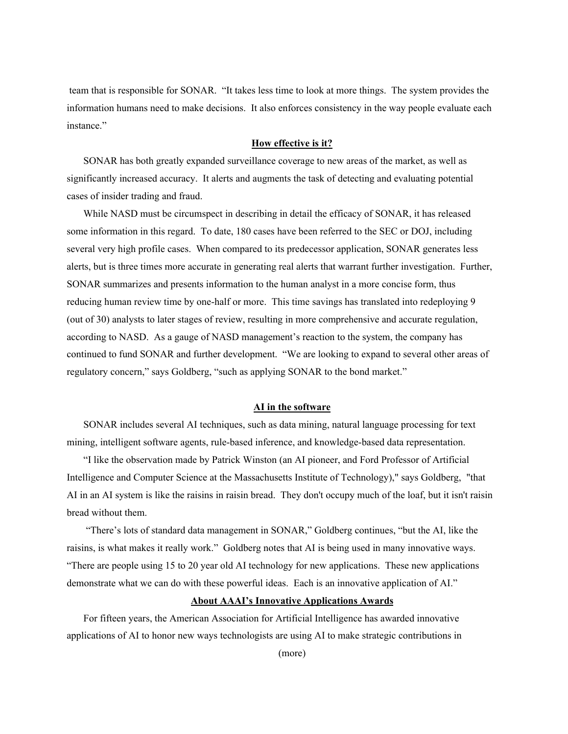team that is responsible for SONAR. "It takes less time to look at more things. The system provides the information humans need to make decisions. It also enforces consistency in the way people evaluate each instance."

#### **How effective is it?**

SONAR has both greatly expanded surveillance coverage to new areas of the market, as well as significantly increased accuracy. It alerts and augments the task of detecting and evaluating potential cases of insider trading and fraud.

While NASD must be circumspect in describing in detail the efficacy of SONAR, it has released some information in this regard. To date, 180 cases have been referred to the SEC or DOJ, including several very high profile cases. When compared to its predecessor application, SONAR generates less alerts, but is three times more accurate in generating real alerts that warrant further investigation. Further, SONAR summarizes and presents information to the human analyst in a more concise form, thus reducing human review time by one-half or more. This time savings has translated into redeploying 9 (out of 30) analysts to later stages of review, resulting in more comprehensive and accurate regulation, according to NASD. As a gauge of NASD management's reaction to the system, the company has continued to fund SONAR and further development. "We are looking to expand to several other areas of regulatory concern," says Goldberg, "such as applying SONAR to the bond market."

#### **AI in the software**

SONAR includes several AI techniques, such as data mining, natural language processing for text mining, intelligent software agents, rule-based inference, and knowledge-based data representation.

"I like the observation made by Patrick Winston (an AI pioneer, and Ford Professor of Artificial Intelligence and Computer Science at the Massachusetts Institute of Technology)," says Goldberg, "that AI in an AI system is like the raisins in raisin bread. They don't occupy much of the loaf, but it isn't raisin bread without them.

 "There's lots of standard data management in SONAR," Goldberg continues, "but the AI, like the raisins, is what makes it really work." Goldberg notes that AI is being used in many innovative ways. "There are people using 15 to 20 year old AI technology for new applications. These new applications demonstrate what we can do with these powerful ideas. Each is an innovative application of AI."

#### **About AAAI's Innovative Applications Awards**

For fifteen years, the American Association for Artificial Intelligence has awarded innovative applications of AI to honor new ways technologists are using AI to make strategic contributions in